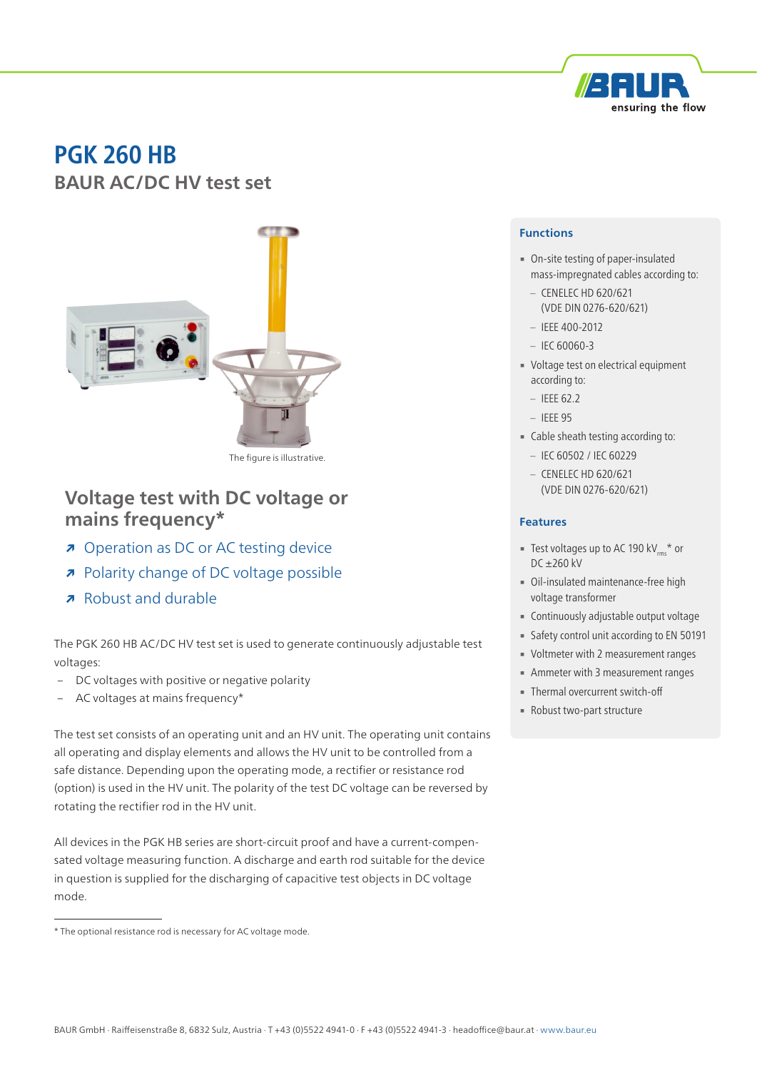

# **PGK 260 HB BAUR AC/DC HV test set**



The figure is illustrative.

## **Voltage test with DC voltage or mains frequency\***

- **↗** Operation as DC or AC testing device
- **↗** Polarity change of DC voltage possible
- **↗** Robust and durable

The PGK 260 HB AC/DC HV test set is used to generate continuously adjustable test voltages:

- DC voltages with positive or negative polarity
- AC voltages at mains frequency\*

The test set consists of an operating unit and an HV unit. The operating unit contains all operating and display elements and allows the HV unit to be controlled from a safe distance. Depending upon the operating mode, a rectifier or resistance rod (option) is used in the HV unit. The polarity of the test DC voltage can be reversed by rotating the rectifier rod in the HV unit.

All devices in the PGK HB series are short-circuit proof and have a current-compensated voltage measuring function. A discharge and earth rod suitable for the device in question is supplied for the discharging of capacitive test objects in DC voltage mode.

#### **Functions**

- On-site testing of paper-insulated mass-impregnated cables according to:
	- CENELEC HD 620/621 (VDE DIN 0276-620/621)
- IEEE 400-2012
- $-$  IEC 60060-3
- Voltage test on electrical equipment according to:
	- $-$  IEEE 62.2
	- IEEE 95
- Cable sheath testing according to:
	- IEC 60502 / IEC 60229
	- CENELEC HD 620/621 (VDE DIN 0276-620/621)

#### **Features**

- **EXECUTE:** Test voltages up to AC 190 kV<sub>rms</sub>\* or DC ±260 kV
- Oil-insulated maintenance-free high voltage transformer
- **Continuously adjustable output voltage**
- **Example 1** Safety control unit according to EN 50191
- Voltmeter with 2 measurement ranges
- **EXECUTE:** Ammeter with 3 measurement ranges
- **Thermal overcurrent switch-off**
- Robust two-part structure

<sup>\*</sup> The optional resistance rod is necessary for AC voltage mode.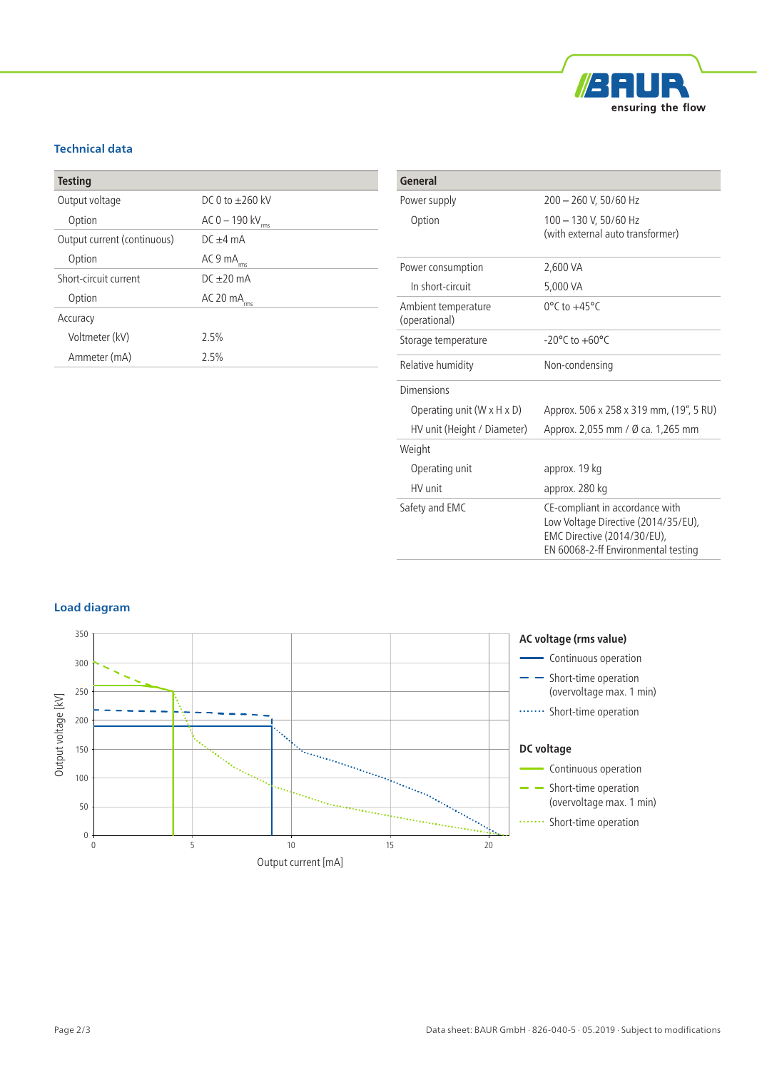

### **Technical data**

| <b>Testing</b>              |                        |
|-----------------------------|------------------------|
| Output voltage              | $DCQ$ to $+26Q$ kV     |
| Option                      | AC 0 – 190 kV<br>rms   |
| Output current (continuous) | $DC + 4 mA$            |
| Option                      | AC 9 mA <sub>rms</sub> |
| Short-circuit current       | $D($ +20 mA            |
| Option                      | AC 20 mA<br>'rms       |
| Accuracy                    |                        |
| Voltmeter (kV)              | 2.5%                   |
| Ammeter (mA)                | 2.5%                   |

| General                                |                                                                                                                                              |
|----------------------------------------|----------------------------------------------------------------------------------------------------------------------------------------------|
| Power supply                           | 200 - 260 V, 50/60 Hz                                                                                                                        |
| Option                                 | 100 - 130 V, 50/60 Hz<br>(with external auto transformer)                                                                                    |
| Power consumption                      | 2,600 VA                                                                                                                                     |
| In short-circuit                       | 5,000 VA                                                                                                                                     |
| Ambient temperature<br>(operational)   | $0^{\circ}$ C to $+45^{\circ}$ C                                                                                                             |
| Storage temperature                    | $-20^{\circ}$ C to $+60^{\circ}$ C                                                                                                           |
| Relative humidity                      | Non-condensing                                                                                                                               |
| Dimensions                             |                                                                                                                                              |
| Operating unit $(W \times H \times D)$ | Approx. 506 x 258 x 319 mm, (19", 5 RU)                                                                                                      |
| HV unit (Height / Diameter)            | Approx. 2,055 mm / Ø ca. 1,265 mm                                                                                                            |
| Weight                                 |                                                                                                                                              |
| Operating unit                         | approx. 19 kg                                                                                                                                |
| HV unit                                | approx. 280 kg                                                                                                                               |
| Safety and EMC                         | CE-compliant in accordance with<br>Low Voltage Directive (2014/35/EU),<br>EMC Directive (2014/30/EU),<br>EN 60068-2-ff Environmental testing |

#### **Load diagram**